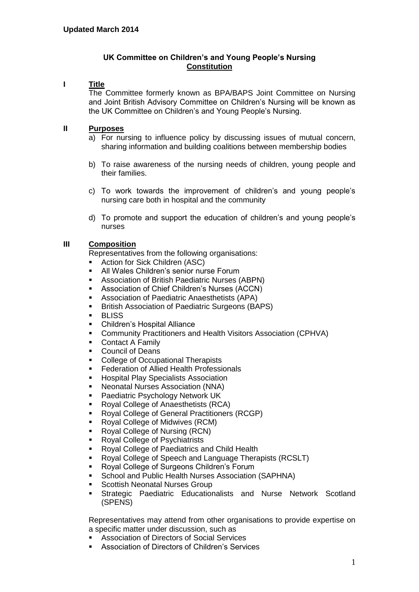# **UK Committee on Children's and Young People's Nursing Constitution**

# **I Title**

The Committee formerly known as BPA/BAPS Joint Committee on Nursing and Joint British Advisory Committee on Children's Nursing will be known as the UK Committee on Children's and Young People's Nursing.

#### **II Purposes**

- a) For nursing to influence policy by discussing issues of mutual concern, sharing information and building coalitions between membership bodies
- b) To raise awareness of the nursing needs of children, young people and their families.
- c) To work towards the improvement of children's and young people's nursing care both in hospital and the community
- d) To promote and support the education of children's and young people's nurses

# **III Composition**

Representatives from the following organisations:

- Action for Sick Children (ASC)
- **All Wales Children's senior nurse Forum**
- Association of British Paediatric Nurses (ABPN)
- Association of Chief Children's Nurses (ACCN)
- Association of Paediatric Anaesthetists (APA)
- **British Association of Paediatric Surgeons (BAPS)**
- BLISS
- **•** Children's Hospital Alliance
- Community Practitioners and Health Visitors Association (CPHVA)
- **Contact A Family**
- **Council of Deans**
- College of Occupational Therapists
- **Federation of Allied Health Professionals**
- **Hospital Play Specialists Association**
- Neonatal Nurses Association (NNA)
- Paediatric Psychology Network UK
- Royal College of Anaesthetists (RCA)
- Royal College of General Practitioners (RCGP)
- Royal College of Midwives (RCM)
- Royal College of Nursing (RCN)
- Royal College of Psychiatrists
- Royal College of Paediatrics and Child Health
- Royal College of Speech and Language Therapists (RCSLT)
- **Royal College of Surgeons Children's Forum**
- School and Public Health Nurses Association (SAPHNA)
- Scottish Neonatal Nurses Group
- Strategic Paediatric Educationalists and Nurse Network Scotland (SPENS)

Representatives may attend from other organisations to provide expertise on a specific matter under discussion, such as

- Association of Directors of Social Services
- Association of Directors of Children's Services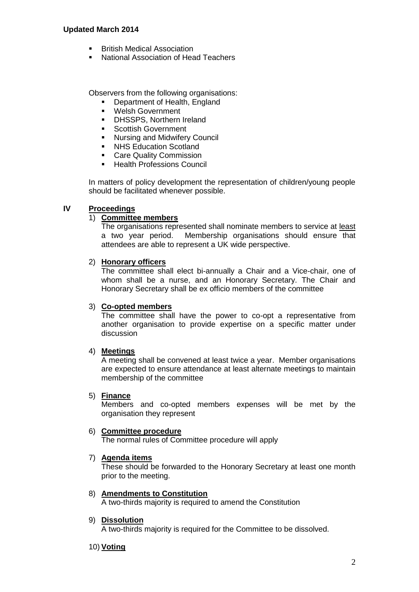#### **Updated March 2014**

- British Medical Association
- National Association of Head Teachers

Observers from the following organisations:

- Department of Health, England
- Welsh Government
- DHSSPS, Northern Ireland
- **Scottish Government**
- **Nursing and Midwifery Council**
- **NHS Education Scotland**
- **Care Quality Commission**
- **Health Professions Council**

In matters of policy development the representation of children/young people should be facilitated whenever possible.

# **IV Proceedings**

#### 1) **Committee members**

The organisations represented shall nominate members to service at least a two year period. Membership organisations should ensure that attendees are able to represent a UK wide perspective.

#### 2) **Honorary officers**

The committee shall elect bi-annually a Chair and a Vice-chair, one of whom shall be a nurse, and an Honorary Secretary. The Chair and Honorary Secretary shall be ex officio members of the committee

#### 3) **Co-opted members**

The committee shall have the power to co-opt a representative from another organisation to provide expertise on a specific matter under discussion

#### 4) **Meetings**

A meeting shall be convened at least twice a year. Member organisations are expected to ensure attendance at least alternate meetings to maintain membership of the committee

#### 5) **Finance**

Members and co-opted members expenses will be met by the organisation they represent

#### 6) **Committee procedure**

The normal rules of Committee procedure will apply

#### 7) **Agenda items**

These should be forwarded to the Honorary Secretary at least one month prior to the meeting.

8) **Amendments to Constitution**

A two-thirds majority is required to amend the Constitution

#### 9) **Dissolution**

A two-thirds majority is required for the Committee to be dissolved.

#### 10) **Voting**